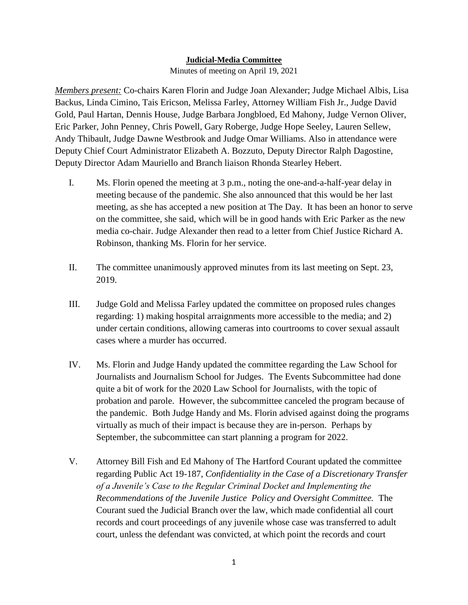## **Judicial-Media Committee**

Minutes of meeting on April 19, 2021

*Members present:* Co-chairs Karen Florin and Judge Joan Alexander; Judge Michael Albis, Lisa Backus, Linda Cimino, Tais Ericson, Melissa Farley, Attorney William Fish Jr., Judge David Gold, Paul Hartan, Dennis House, Judge Barbara Jongbloed, Ed Mahony, Judge Vernon Oliver, Eric Parker, John Penney, Chris Powell, Gary Roberge, Judge Hope Seeley, Lauren Sellew, Andy Thibault, Judge Dawne Westbrook and Judge Omar Williams. Also in attendance were Deputy Chief Court Administrator Elizabeth A. Bozzuto, Deputy Director Ralph Dagostine, Deputy Director Adam Mauriello and Branch liaison Rhonda Stearley Hebert.

- I. Ms. Florin opened the meeting at 3 p.m., noting the one-and-a-half-year delay in meeting because of the pandemic. She also announced that this would be her last meeting, as she has accepted a new position at The Day. It has been an honor to serve on the committee, she said, which will be in good hands with Eric Parker as the new media co-chair. Judge Alexander then read to a letter from Chief Justice Richard A. Robinson, thanking Ms. Florin for her service.
- II. The committee unanimously approved minutes from its last meeting on Sept. 23, 2019.
- III. Judge Gold and Melissa Farley updated the committee on proposed rules changes regarding: 1) making hospital arraignments more accessible to the media; and 2) under certain conditions, allowing cameras into courtrooms to cover sexual assault cases where a murder has occurred.
- IV. Ms. Florin and Judge Handy updated the committee regarding the Law School for Journalists and Journalism School for Judges. The Events Subcommittee had done quite a bit of work for the 2020 Law School for Journalists, with the topic of probation and parole. However, the subcommittee canceled the program because of the pandemic. Both Judge Handy and Ms. Florin advised against doing the programs virtually as much of their impact is because they are in-person. Perhaps by September, the subcommittee can start planning a program for 2022.
- V. Attorney Bill Fish and Ed Mahony of The Hartford Courant updated the committee regarding Public Act 19-187, *Confidentiality in the Case of a Discretionary Transfer of a Juvenile's Case to the Regular Criminal Docket and Implementing the Recommendations of the Juvenile Justice Policy and Oversight Committee.* The Courant sued the Judicial Branch over the law, which made confidential all court records and court proceedings of any juvenile whose case was transferred to adult court, unless the defendant was convicted, at which point the records and court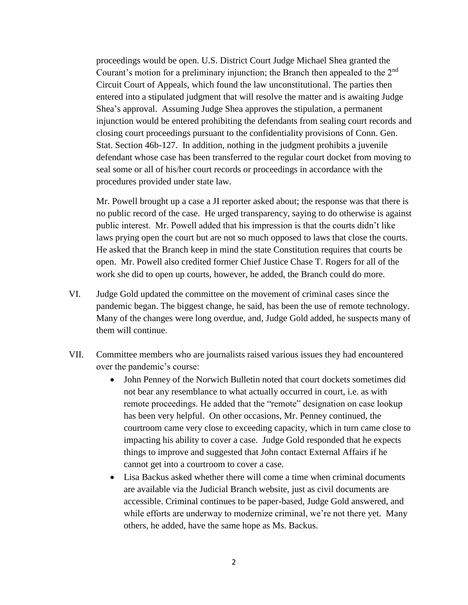proceedings would be open. U.S. District Court Judge Michael Shea granted the Courant's motion for a preliminary injunction; the Branch then appealed to the 2<sup>nd</sup> Circuit Court of Appeals, which found the law unconstitutional. The parties then entered into a stipulated judgment that will resolve the matter and is awaiting Judge Shea's approval. Assuming Judge Shea approves the stipulation, a permanent injunction would be entered prohibiting the defendants from sealing court records and closing court proceedings pursuant to the confidentiality provisions of Conn. Gen. Stat. Section 46b-127. In addition, nothing in the judgment prohibits a juvenile defendant whose case has been transferred to the regular court docket from moving to seal some or all of his/her court records or proceedings in accordance with the procedures provided under state law.

Mr. Powell brought up a case a JI reporter asked about; the response was that there is no public record of the case. He urged transparency, saying to do otherwise is against public interest. Mr. Powell added that his impression is that the courts didn't like laws prying open the court but are not so much opposed to laws that close the courts. He asked that the Branch keep in mind the state Constitution requires that courts be open. Mr. Powell also credited former Chief Justice Chase T. Rogers for all of the work she did to open up courts, however, he added, the Branch could do more.

- VI. Judge Gold updated the committee on the movement of criminal cases since the pandemic began. The biggest change, he said, has been the use of remote technology. Many of the changes were long overdue, and, Judge Gold added, he suspects many of them will continue.
- VII. Committee members who are journalists raised various issues they had encountered over the pandemic's course:
	- John Penney of the Norwich Bulletin noted that court dockets sometimes did not bear any resemblance to what actually occurred in court, i.e. as with remote proceedings. He added that the "remote" designation on case lookup has been very helpful. On other occasions, Mr. Penney continued, the courtroom came very close to exceeding capacity, which in turn came close to impacting his ability to cover a case. Judge Gold responded that he expects things to improve and suggested that John contact External Affairs if he cannot get into a courtroom to cover a case.
	- Lisa Backus asked whether there will come a time when criminal documents are available via the Judicial Branch website, just as civil documents are accessible. Criminal continues to be paper-based, Judge Gold answered, and while efforts are underway to modernize criminal, we're not there yet. Many others, he added, have the same hope as Ms. Backus.